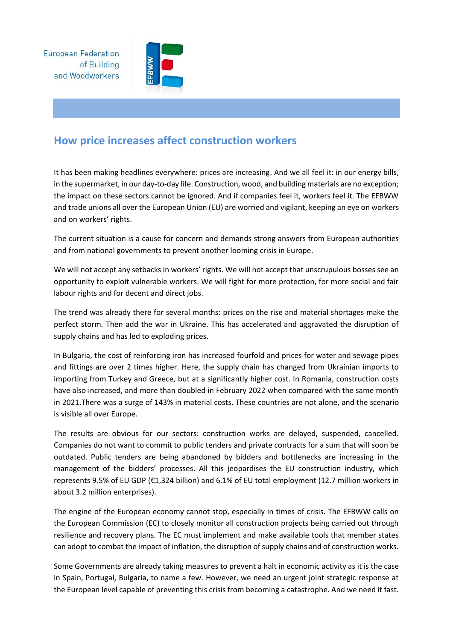**European Federation** of Building and Woodworkers



## **How price increases affect construction workers**

It has been making headlines everywhere: prices are increasing. And we all feel it: in our energy bills, in the supermarket, in our day-to-day life. Construction, wood, and building materials are no exception; the impact on these sectors cannot be ignored. And if companies feel it, workers feel it. The EFBWW and trade unions all over the European Union (EU) are worried and vigilant, keeping an eye on workers and on workers' rights.

The current situation is a cause for concern and demands strong answers from European authorities and from national governments to prevent another looming crisis in Europe.

We will not accept any setbacks in workers' rights. We will not accept that unscrupulous bosses see an opportunity to exploit vulnerable workers. We will fight for more protection, for more social and fair labour rights and for decent and direct jobs.

The trend was already there for several months: prices on the rise and material shortages make the perfect storm. Then add the war in Ukraine. This has accelerated and aggravated the disruption of supply chains and has led to exploding prices.

In Bulgaria, the cost of reinforcing iron has increased fourfold and prices for water and sewage pipes and fittings are over 2 times higher. Here, the supply chain has changed from Ukrainian imports to importing from Turkey and Greece, but at a significantly higher cost. In Romania, construction costs have also increased, and more than doubled in February 2022 when compared with the same month in 2021.There was a surge of 143% in material costs. These countries are not alone, and the scenario is visible all over Europe.

The results are obvious for our sectors: construction works are delayed, suspended, cancelled. Companies do not want to commit to public tenders and private contracts for a sum that will soon be outdated. Public tenders are being abandoned by bidders and bottlenecks are increasing in the management of the bidders' processes. All this jeopardises the EU construction industry, which represents 9.5% of EU GDP (€1,324 billion) and 6.1% of EU total employment (12.7 million workers in about 3.2 million enterprises).

The engine of the European economy cannot stop, especially in times of crisis. The EFBWW calls on the European Commission (EC) to closely monitor all construction projects being carried out through resilience and recovery plans. The EC must implement and make available tools that member states can adopt to combat the impact of inflation, the disruption of supply chains and of construction works.

Some Governments are already taking measures to prevent a halt in economic activity as it is the case in Spain, Portugal, Bulgaria, to name a few. However, we need an urgent joint strategic response at the European level capable of preventing this crisis from becoming a catastrophe. And we need it fast.